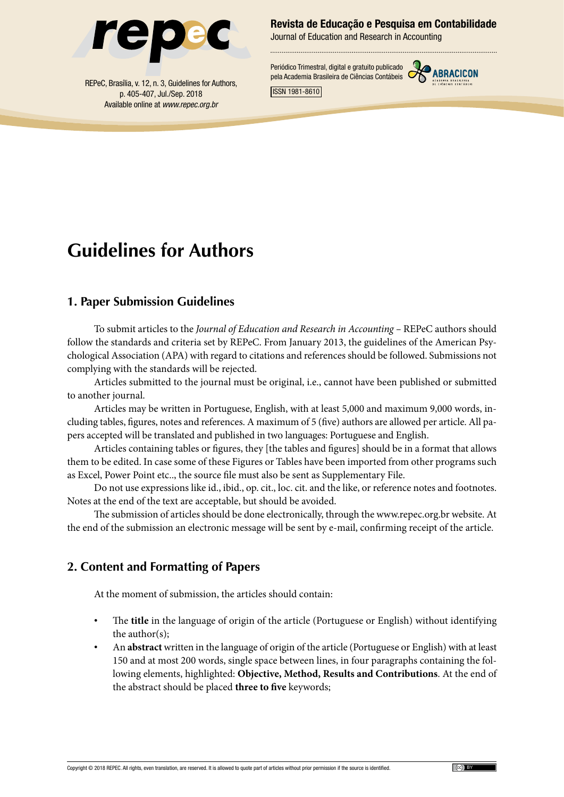

REPeC, Brasília, v. 12, n. 3, Guidelines for Authors, p. 405-407, Jul./Sep. 2018 Available online at *www.repec.org.br*

Revista de Educação e Pesquisa em Contabilidade

Journal of Education and Research in Accounting

Periódico Trimestral, digital e gratuito publicado pela Academia Brasileira de Ciências Contábeis



ISSN 1981-8610

# **Guidelines for Authors**

#### **1. Paper Submission Guidelines**

To submit articles to the *Journal of Education and Research in Accounting –* REPeC authors should follow the standards and criteria set by REPeC. From January 2013, the guidelines of the American Psychological Association (APA) with regard to citations and references should be followed. Submissions not complying with the standards will be rejected.

Articles submitted to the journal must be original, i.e., cannot have been published or submitted to another journal.

Articles may be written in Portuguese, English, with at least 5,000 and maximum 9,000 words, including tables, figures, notes and references. A maximum of 5 (five) authors are allowed per article. All papers accepted will be translated and published in two languages: Portuguese and English.

Articles containing tables or figures, they [the tables and figures] should be in a format that allows them to be edited. In case some of these Figures or Tables have been imported from other programs such as Excel, Power Point etc.., the source file must also be sent as Supplementary File.

Do not use expressions like id., ibid., op. cit., loc. cit. and the like, or reference notes and footnotes. Notes at the end of the text are acceptable, but should be avoided.

The submission of articles should be done electronically, through the www.repec.org.br website. At the end of the submission an electronic message will be sent by e-mail, confirming receipt of the article.

### **2. Content and Formatting of Papers**

At the moment of submission, the articles should contain:

- The **title** in the language of origin of the article (Portuguese or English) without identifying the author(s);
- An **abstract** written in the language of origin of the article (Portuguese or English) with at least 150 and at most 200 words, single space between lines, in four paragraphs containing the following elements, highlighted: **Objective, Method, Results and Contributions**. At the end of the abstract should be placed **three to five** keywords;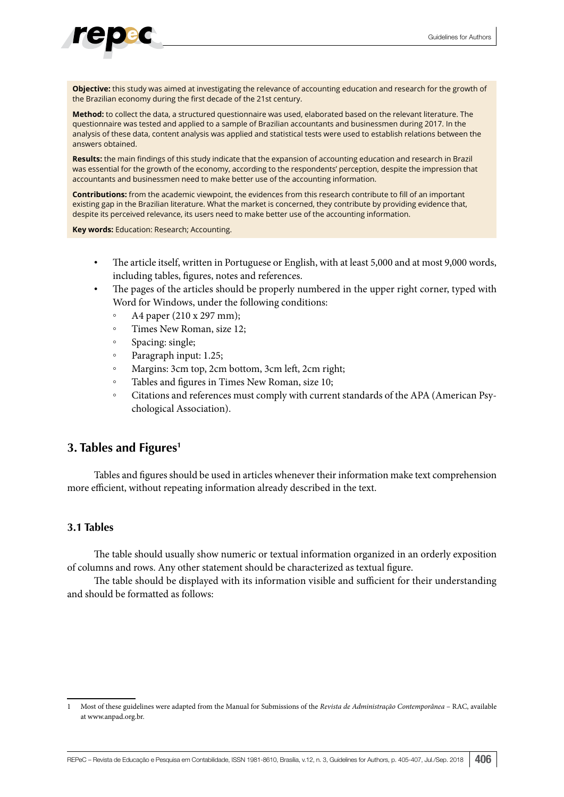**Objective:** this study was aimed at investigating the relevance of accounting education and research for the growth of the Brazilian economy during the first decade of the 21st century.

**Method:** to collect the data, a structured questionnaire was used, elaborated based on the relevant literature. The questionnaire was tested and applied to a sample of Brazilian accountants and businessmen during 2017. In the analysis of these data, content analysis was applied and statistical tests were used to establish relations between the answers obtained.

**Results:** the main findings of this study indicate that the expansion of accounting education and research in Brazil was essential for the growth of the economy, according to the respondents' perception, despite the impression that accountants and businessmen need to make better use of the accounting information.

**Contributions:** from the academic viewpoint, the evidences from this research contribute to fill of an important existing gap in the Brazilian literature. What the market is concerned, they contribute by providing evidence that, despite its perceived relevance, its users need to make better use of the accounting information.

**Key words:** Education: Research; Accounting.

- The article itself, written in Portuguese or English, with at least 5,000 and at most 9,000 words, including tables, figures, notes and references.
- The pages of the articles should be properly numbered in the upper right corner, typed with Word for Windows, under the following conditions:
	- A4 paper (210 x 297 mm);
	- Times New Roman, size 12;
	- Spacing: single;
	- Paragraph input: 1.25;
	- Margins: 3cm top, 2cm bottom, 3cm left, 2cm right;
	- Tables and figures in Times New Roman, size 10;
	- Citations and references must comply with current standards of the APA (American Psychological Association).

#### **3. Tables and Figures1**

Tables and figures should be used in articles whenever their information make text comprehension more efficient, without repeating information already described in the text.

#### **3.1 Tables**

The table should usually show numeric or textual information organized in an orderly exposition of columns and rows. Any other statement should be characterized as textual figure.

The table should be displayed with its information visible and sufficient for their understanding and should be formatted as follows:

<sup>1</sup> Most of these guidelines were adapted from the Manual for Submissions of the *Revista de Administração Contemporânea* – RAC, available at www.anpad.org.br.